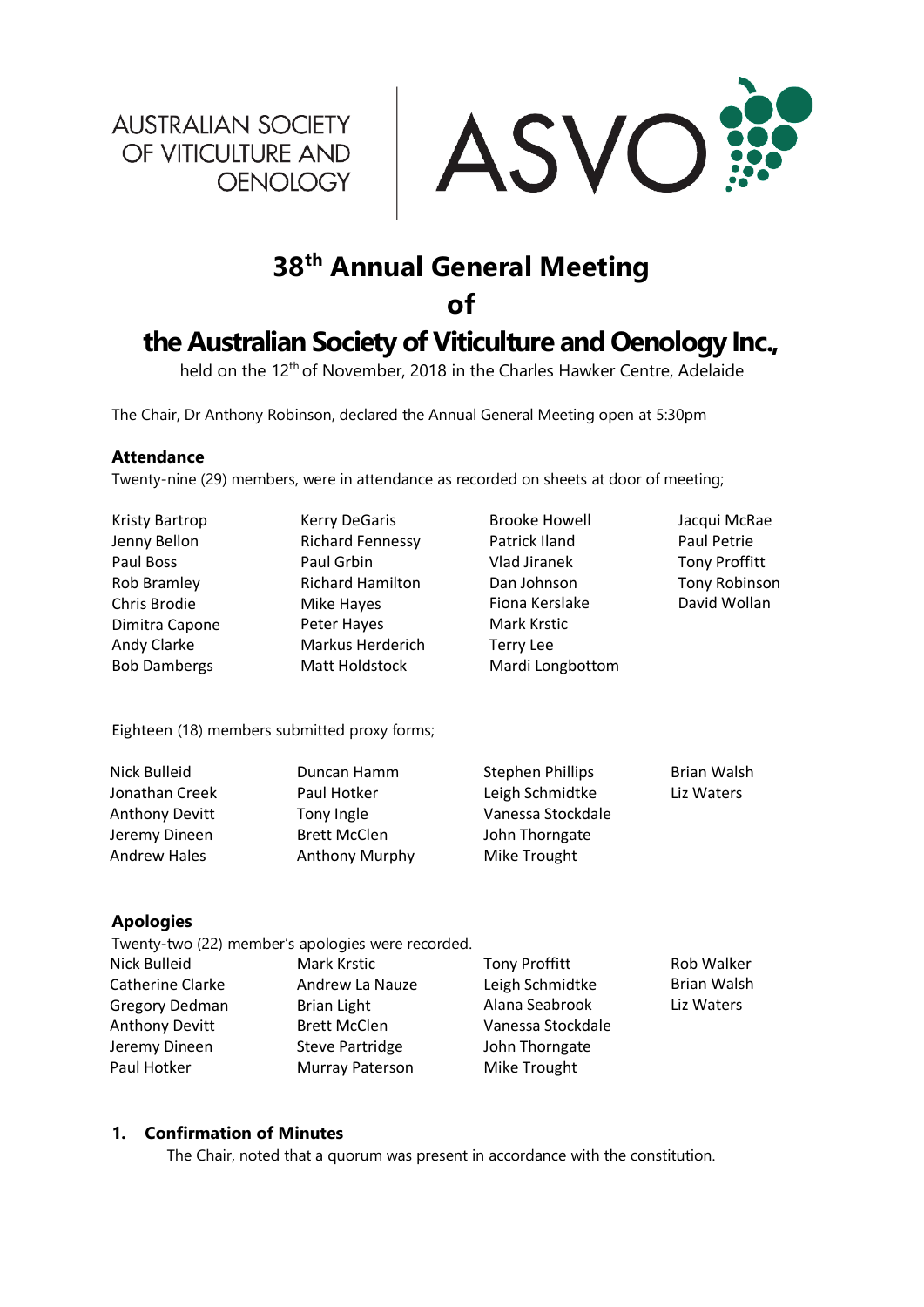**AUSTRALIAN SOCIETY** OF VITICULTURE AND OENOLOGY



# **38th Annual General Meeting**

**of** 

## **the Australian Society of Viticulture and Oenology Inc.,**

held on the 12th of November, 2018 in the Charles Hawker Centre, Adelaide

The Chair, Dr Anthony Robinson, declared the Annual General Meeting open at 5:30pm

### **Attendance**

Twenty-nine (29) members, were in attendance as recorded on sheets at door of meeting;

| Kristy Bartrop      | <b>Kerry DeGaris</b>                         | <b>Brooke Howell</b> | Jacqui McRae         |
|---------------------|----------------------------------------------|----------------------|----------------------|
| Jenny Bellon        | <b>Richard Fennessy</b>                      | Patrick Iland        | Paul Petrie          |
| Paul Boss           | Paul Grbin                                   | Vlad Jiranek         | <b>Tony Proffitt</b> |
| Rob Bramley         | <b>Richard Hamilton</b>                      | Dan Johnson          | <b>Tony Robinson</b> |
| Chris Brodie        | Mike Hayes                                   | Fiona Kerslake       | David Wollan         |
| Dimitra Capone      | Peter Hayes                                  | Mark Krstic          |                      |
| Andy Clarke         | Markus Herderich                             | Terry Lee            |                      |
| <b>Bob Dambergs</b> | Matt Holdstock                               | Mardi Longbottom     |                      |
|                     | Eighteen (18) members submitted proxy forms; |                      |                      |
|                     |                                              |                      |                      |

| Nick Bulleid          | Duncan Hamm           | <b>Stephen Phillips</b> | <b>Brian Walsh</b> |
|-----------------------|-----------------------|-------------------------|--------------------|
| Jonathan Creek        | Paul Hotker           | Leigh Schmidtke         | Liz Waters         |
| <b>Anthony Devitt</b> | Tony Ingle            | Vanessa Stockdale       |                    |
| Jeremy Dineen         | <b>Brett McClen</b>   | John Thorngate          |                    |
| Andrew Hales          | <b>Anthony Murphy</b> | Mike Trought            |                    |

## **Apologies**

| Twenty-two (22) member's apologies were recorded. |                        |                      |                    |
|---------------------------------------------------|------------------------|----------------------|--------------------|
| Nick Bulleid                                      | Mark Krstic            | <b>Tony Proffitt</b> | Rob Walker         |
| Catherine Clarke                                  | Andrew La Nauze        | Leigh Schmidtke      | <b>Brian Walsh</b> |
| <b>Gregory Dedman</b>                             | Brian Light            | Alana Seabrook       | Liz Waters         |
| <b>Anthony Devitt</b>                             | <b>Brett McClen</b>    | Vanessa Stockdale    |                    |
| Jeremy Dineen                                     | <b>Steve Partridge</b> | John Thorngate       |                    |
| Paul Hotker                                       | Murray Paterson        | Mike Trought         |                    |

## **1. Confirmation of Minutes**

The Chair, noted that a quorum was present in accordance with the constitution.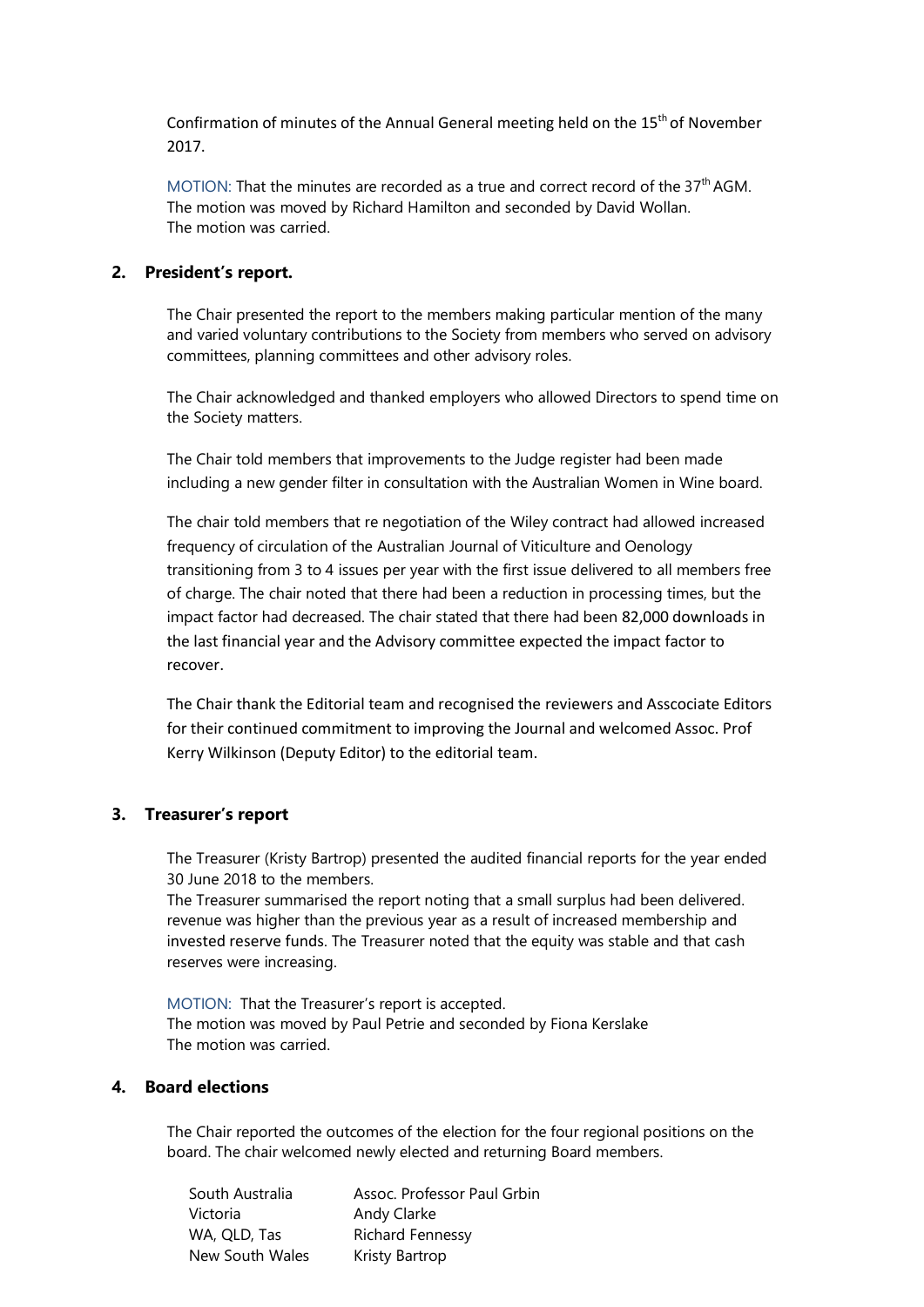Confirmation of minutes of the Annual General meeting held on the 15th of November 2017.

MOTION: That the minutes are recorded as a true and correct record of the 37<sup>th</sup> AGM. The motion was moved by Richard Hamilton and seconded by David Wollan. The motion was carried.

## **2. President's report.**

The Chair presented the report to the members making particular mention of the many and varied voluntary contributions to the Society from members who served on advisory committees, planning committees and other advisory roles.

The Chair acknowledged and thanked employers who allowed Directors to spend time on the Society matters.

The Chair told members that improvements to the Judge register had been made including a new gender filter in consultation with the Australian Women in Wine board.

The chair told members that re negotiation of the Wiley contract had allowed increased frequency of circulation of the Australian Journal of Viticulture and Oenology transitioning from 3 to 4 issues per year with the first issue delivered to all members free of charge. The chair noted that there had been a reduction in processing times, but the impact factor had decreased. The chair stated that there had been 82,000 downloads in the last financial year and the Advisory committee expected the impact factor to recover.

The Chair thank the Editorial team and recognised the reviewers and Asscociate Editors for their continued commitment to improving the Journal and welcomed Assoc. Prof Kerry Wilkinson (Deputy Editor) to the editorial team.

#### **3. Treasurer's report**

The Treasurer (Kristy Bartrop) presented the audited financial reports for the year ended 30 June 2018 to the members.

The Treasurer summarised the report noting that a small surplus had been delivered. revenue was higher than the previous year as a result of increased membership and invested reserve funds. The Treasurer noted that the equity was stable and that cash reserves were increasing.

MOTION: That the Treasurer's report is accepted. The motion was moved by Paul Petrie and seconded by Fiona Kerslake The motion was carried.

### **4. Board elections**

The Chair reported the outcomes of the election for the four regional positions on the board. The chair welcomed newly elected and returning Board members.

| South Australia | Assoc. Professor Paul Grbin |
|-----------------|-----------------------------|
| Victoria        | Andy Clarke                 |
| WA, QLD, Tas    | <b>Richard Fennessy</b>     |
| New South Wales | Kristy Bartrop              |